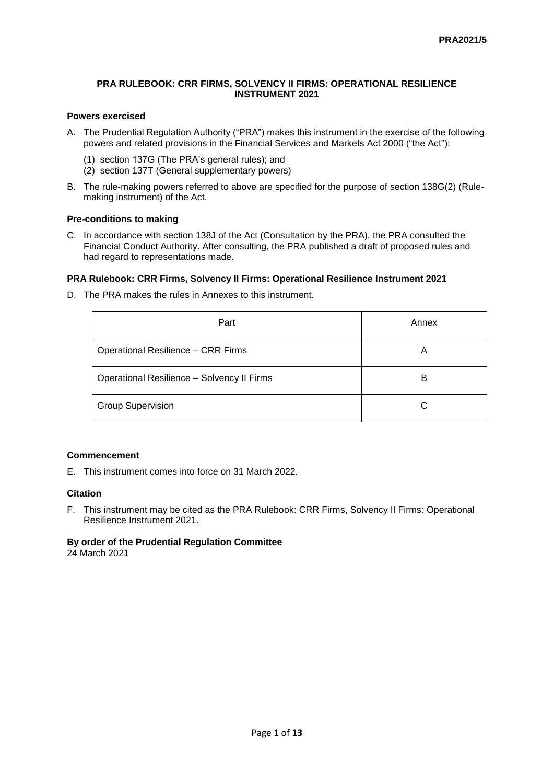#### **PRA RULEBOOK: CRR FIRMS, SOLVENCY II FIRMS: OPERATIONAL RESILIENCE INSTRUMENT 2021**

### **Powers exercised**

- A. The Prudential Regulation Authority ("PRA") makes this instrument in the exercise of the following powers and related provisions in the Financial Services and Markets Act 2000 ("the Act"):
	- (1) section 137G (The PRA's general rules); and
	- (2) section 137T (General supplementary powers)
- B. The rule-making powers referred to above are specified for the purpose of section 138G(2) (Rulemaking instrument) of the Act.

### **Pre-conditions to making**

C. In accordance with section 138J of the Act (Consultation by the PRA), the PRA consulted the Financial Conduct Authority. After consulting, the PRA published a draft of proposed rules and had regard to representations made.

#### **PRA Rulebook: CRR Firms, Solvency II Firms: Operational Resilience Instrument 2021**

D. The PRA makes the rules in Annexes to this instrument.

| Part                                       | Annex |
|--------------------------------------------|-------|
| <b>Operational Resilience - CRR Firms</b>  | Α     |
| Operational Resilience - Solvency II Firms | B     |
| <b>Group Supervision</b>                   |       |

#### **Commencement**

E. This instrument comes into force on 31 March 2022.

#### **Citation**

F. This instrument may be cited as the PRA Rulebook: CRR Firms, Solvency II Firms: Operational Resilience Instrument 2021.

## **By order of the Prudential Regulation Committee**

24 March 2021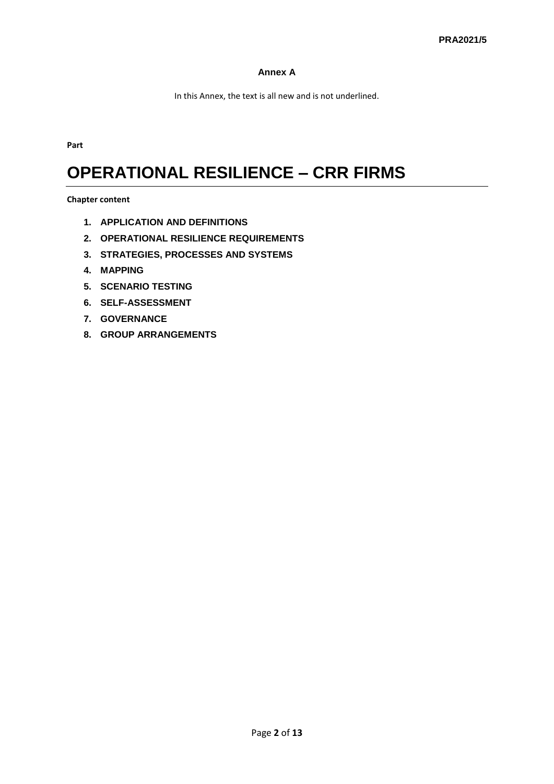## **Annex A**

In this Annex, the text is all new and is not underlined.

**Part** 

# **OPERATIONAL RESILIENCE – CRR FIRMS**

**Chapter content**

- **1. APPLICATION AND DEFINITIONS**
- **2. OPERATIONAL RESILIENCE REQUIREMENTS**
- **3. STRATEGIES, PROCESSES AND SYSTEMS**
- **4. MAPPING**
- **5. SCENARIO TESTING**
- **6. SELF-ASSESSMENT**
- **7. GOVERNANCE**
- **8. GROUP ARRANGEMENTS**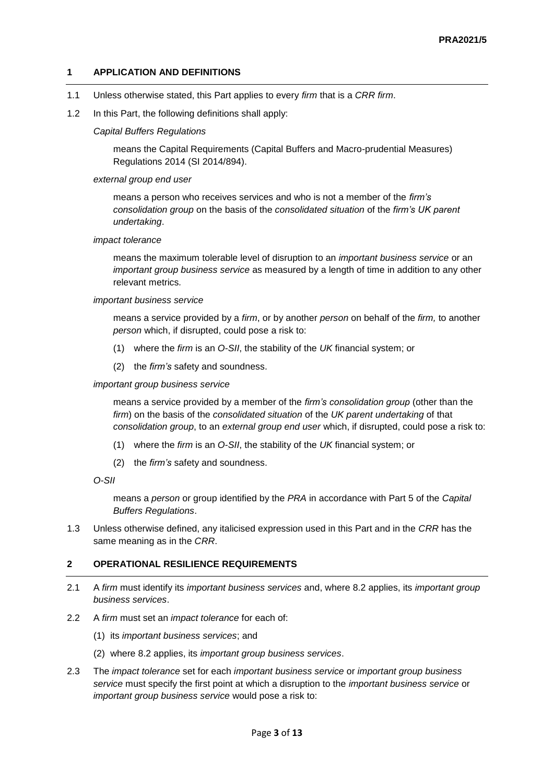## **1 APPLICATION AND DEFINITIONS**

- 1.1 Unless otherwise stated, this Part applies to every *firm* that is a *CRR firm*.
- 1.2 In this Part, the following definitions shall apply:

#### *Capital Buffers Regulations*

means the Capital Requirements (Capital Buffers and Macro-prudential Measures) Regulations 2014 (SI 2014/894).

#### *external group end user*

means a person who receives services and who is not a member of the *firm's consolidation group* on the basis of the *consolidated situation* of the *firm's UK parent undertaking*.

#### *impact tolerance*

means the maximum tolerable level of disruption to an *important business service* or an *important group business service* as measured by a length of time in addition to any other relevant metrics*.*

#### *important business service*

means a service provided by a *firm*, or by another *person* on behalf of the *firm,* to another *person* which, if disrupted, could pose a risk to:

- (1) where the *firm* is an *O-SII*, the stability of the *UK* financial system; or
- (2) the *firm's* safety and soundness.

#### *important group business service*

means a service provided by a member of the *firm's consolidation group* (other than the *firm*) on the basis of the *consolidated situation* of the *UK parent undertaking* of that *consolidation group*, to an *external group end user* which, if disrupted, could pose a risk to:

- (1) where the *firm* is an *O-SII*, the stability of the *UK* financial system; or
- (2) the *firm's* safety and soundness.

```
O-SII
```
means a *person* or group identified by the *PRA* in accordance with Part 5 of the *Capital Buffers Regulations*.

1.3 Unless otherwise defined, any italicised expression used in this Part and in the *CRR* has the same meaning as in the *CRR*.

### **2 OPERATIONAL RESILIENCE REQUIREMENTS**

- 2.1 A *firm* must identify its *important business services* and, where 8.2 applies, its *important group business services*.
- 2.2 A *firm* must set an *impact tolerance* for each of:
	- (1) its *important business services*; and
	- (2) where 8.2 applies, its *important group business services*.
- 2.3 The *impact tolerance* set for each *important business service* or *important group business service* must specify the first point at which a disruption to the *important business service* or *important group business service* would pose a risk to: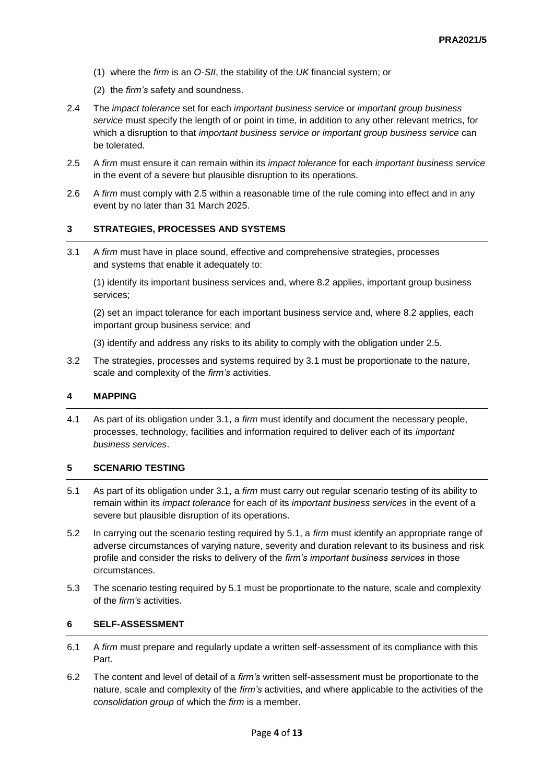- (1) where the *firm* is an *O-SII*, the stability of the *UK* financial system; or
- (2) the *firm's* safety and soundness.
- 2.4 The *impact tolerance* set for each *important business service* or *important group business service* must specify the length of or point in time, in addition to any other relevant metrics, for which a disruption to that *important business service or important group business service* can be tolerated.
- 2.5 A *firm* must ensure it can remain within its *impact tolerance* for each *important business service*  in the event of a severe but plausible disruption to its operations.
- 2.6 A *firm* must comply with 2.5 within a reasonable time of the rule coming into effect and in any event by no later than 31 March 2025.

### **3 STRATEGIES, PROCESSES AND SYSTEMS**

3.1 A *firm* must have in place sound, effective and comprehensive strategies, processes and systems that enable it adequately to:

(1) identify its important business services and, where 8.2 applies, important group business services;

(2) set an impact tolerance for each important business service and, where 8.2 applies, each important group business service; and

(3) identify and address any risks to its ability to comply with the obligation under 2.5.

3.2 The strategies, processes and systems required by 3.1 must be proportionate to the nature, scale and complexity of the *firm's* activities.

#### **4 MAPPING**

4.1 As part of its obligation under 3.1, a *firm* must identify and document the necessary people, processes, technology, facilities and information required to deliver each of its *important business services*.

#### **5 SCENARIO TESTING**

- 5.1 As part of its obligation under 3.1, a *firm* must carry out regular scenario testing of its ability to remain within its *impact tolerance* for each of its *important business services* in the event of a severe but plausible disruption of its operations.
- 5.2 In carrying out the scenario testing required by 5.1, a *firm* must identify an appropriate range of adverse circumstances of varying nature, severity and duration relevant to its business and risk profile and consider the risks to delivery of the *firm's important business services* in those circumstances.
- 5.3 The scenario testing required by 5.1 must be proportionate to the nature, scale and complexity of the *firm's* activities.

#### **6 SELF-ASSESSMENT**

- 6.1 A *firm* must prepare and regularly update a written self-assessment of its compliance with this Part.
- 6.2 The content and level of detail of a *firm's* written self-assessment must be proportionate to the nature, scale and complexity of the *firm's* activities, and where applicable to the activities of the *consolidation group* of which the *firm* is a member.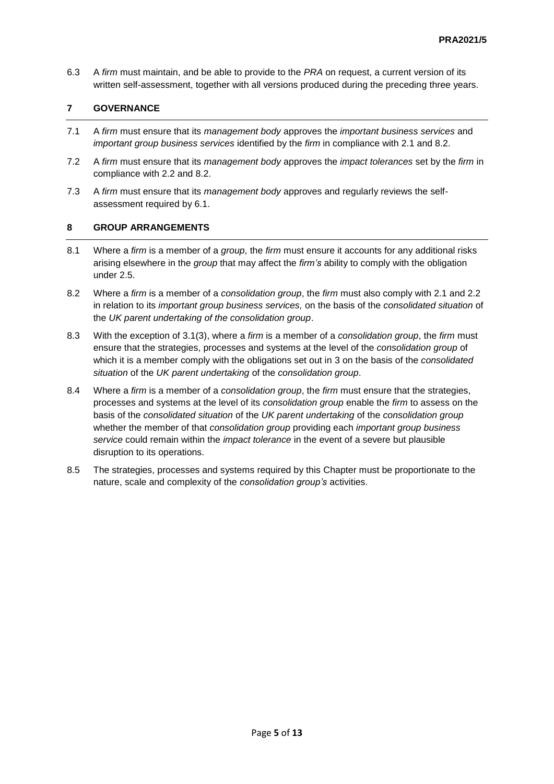6.3 A *firm* must maintain, and be able to provide to the *PRA* on request, a current version of its written self-assessment, together with all versions produced during the preceding three years.

## **7 GOVERNANCE**

- 7.1 A *firm* must ensure that its *management body* approves the *important business services* and *important group business services* identified by the *firm* in compliance with 2.1 and 8.2.
- 7.2 A *firm* must ensure that its *management body* approves the *impact tolerances* set by the *firm* in compliance with 2.2 and 8.2.
- 7.3 A *firm* must ensure that its *management body* approves and regularly reviews the selfassessment required by 6.1.

## **8 GROUP ARRANGEMENTS**

- 8.1 Where a *firm* is a member of a *group*, the *firm* must ensure it accounts for any additional risks arising elsewhere in the *group* that may affect the *firm's* ability to comply with the obligation under 2.5.
- 8.2 Where a *firm* is a member of a *consolidation group*, the *firm* must also comply with 2.1 and 2.2 in relation to its *important group business services,* on the basis of the *consolidated situation* of the *UK parent undertaking of the consolidation group*.
- 8.3 With the exception of 3.1(3), where a *firm* is a member of a *consolidation group*, the *firm* must ensure that the strategies, processes and systems at the level of the *consolidation group* of which it is a member comply with the obligations set out in 3 on the basis of the *consolidated situation* of the *UK parent undertaking* of the *consolidation group*.
- 8.4 Where a *firm* is a member of a *consolidation group*, the *firm* must ensure that the strategies, processes and systems at the level of its *consolidation group* enable the *firm* to assess on the basis of the *consolidated situation* of the *UK parent undertaking* of the *consolidation group* whether the member of that *consolidation group* providing each *important group business service* could remain within the *impact tolerance* in the event of a severe but plausible disruption to its operations.
- 8.5 The strategies, processes and systems required by this Chapter must be proportionate to the nature, scale and complexity of the *consolidation group's* activities.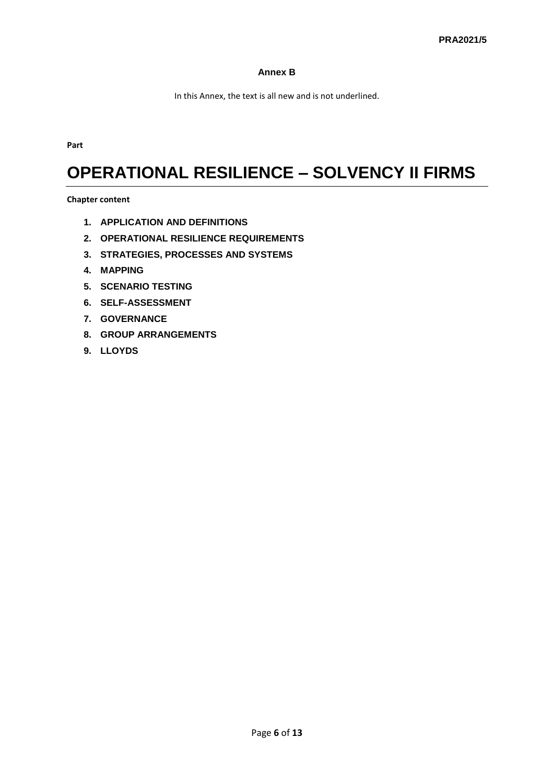## **Annex B**

In this Annex, the text is all new and is not underlined.

**Part**

## **OPERATIONAL RESILIENCE – SOLVENCY II FIRMS**

**Chapter content**

- **1. APPLICATION AND DEFINITIONS**
- **2. OPERATIONAL RESILIENCE REQUIREMENTS**
- **3. STRATEGIES, PROCESSES AND SYSTEMS**
- **4. MAPPING**
- **5. SCENARIO TESTING**
- **6. SELF-ASSESSMENT**
- **7. GOVERNANCE**
- **8. GROUP ARRANGEMENTS**
- **9. LLOYDS**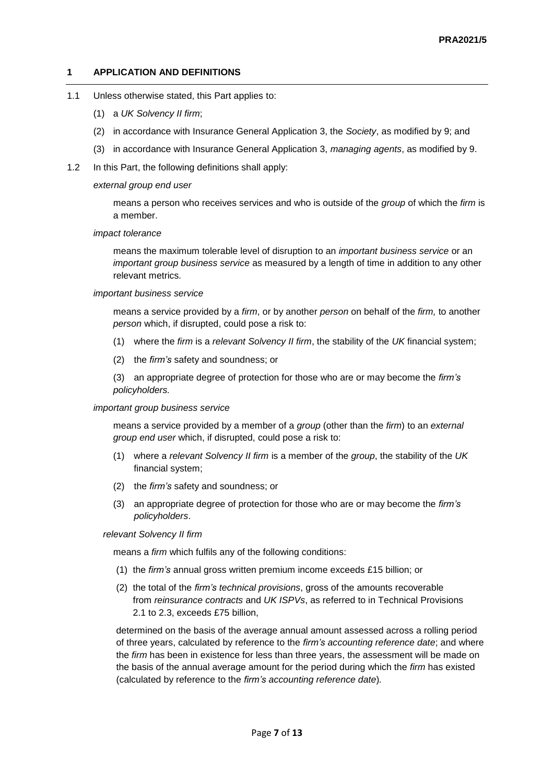#### **1 APPLICATION AND DEFINITIONS**

- 1.1 Unless otherwise stated, this Part applies to:
	- (1) a *UK Solvency II firm*;
	- (2) in accordance with Insurance General Application 3, the *Society*, as modified by 9; and
	- (3) in accordance with Insurance General Application 3, *managing agents*, as modified by 9.
- 1.2 In this Part, the following definitions shall apply:

#### *external group end user*

means a person who receives services and who is outside of the *group* of which the *firm* is a member.

#### *impact tolerance*

means the maximum tolerable level of disruption to an *important business service* or an *important group business service* as measured by a length of time in addition to any other relevant metrics*.*

#### *important business service*

means a service provided by a *firm*, or by another *person* on behalf of the *firm,* to another *person* which, if disrupted, could pose a risk to:

- (1) where the *firm* is a *relevant Solvency II firm*, the stability of the *UK* financial system;
- (2) the *firm's* safety and soundness; or

(3) an appropriate degree of protection for those who are or may become the *firm's policyholders.*

#### *important group business service*

means a service provided by a member of a *group* (other than the *firm*) to an *external group end user* which, if disrupted, could pose a risk to:

- (1) where a *relevant Solvency II firm* is a member of the *group*, the stability of the *UK* financial system;
- (2) the *firm's* safety and soundness; or
- (3) an appropriate degree of protection for those who are or may become the *firm's policyholders*.

#### *relevant Solvency II firm*

means a *firm* which fulfils any of the following conditions:

- (1) the *firm's* annual gross written premium income exceeds £15 billion; or
- (2) the total of the *firm's technical provisions*, gross of the amounts recoverable from *reinsurance contracts* and *UK ISPVs*, as referred to in Technical Provisions 2.1 to 2.3, exceeds £75 billion,

determined on the basis of the average annual amount assessed across a rolling period of three years, calculated by reference to the *firm's accounting reference date*; and where the *firm* has been in existence for less than three years, the assessment will be made on the basis of the annual average amount for the period during which the *firm* has existed (calculated by reference to the *firm's accounting reference date*)*.*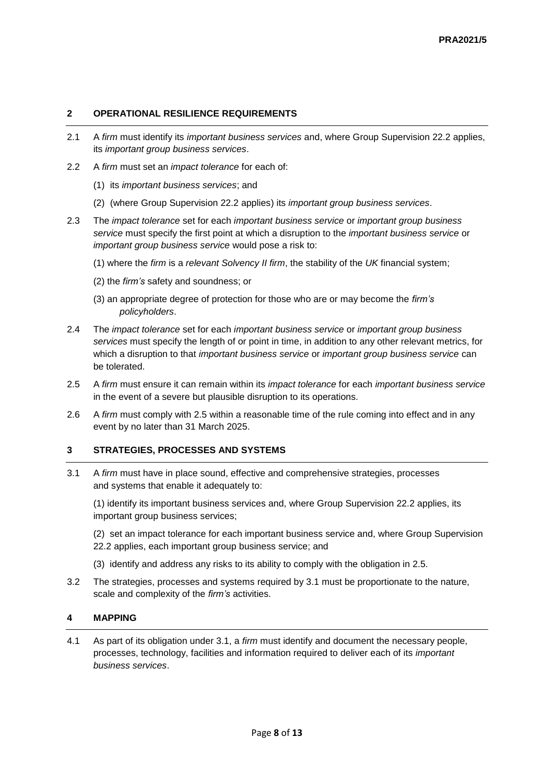## **2 OPERATIONAL RESILIENCE REQUIREMENTS**

- 2.1 A *firm* must identify its *important business services* and, where Group Supervision 22.2 applies, its *important group business services*.
- 2.2 A *firm* must set an *impact tolerance* for each of:
	- (1) its *important business services*; and
	- (2) (where Group Supervision 22.2 applies) its *important group business services*.
- 2.3 The *impact tolerance* set for each *important business service* or *important group business service* must specify the first point at which a disruption to the *important business service* or *important group business service* would pose a risk to:
	- (1) where the *firm* is a *relevant Solvency II firm*, the stability of the *UK* financial system;
	- (2) the *firm's* safety and soundness; or
	- (3) an appropriate degree of protection for those who are or may become the *firm's policyholders*.
- 2.4 The *impact tolerance* set for each *important business service* or *important group business services* must specify the length of or point in time, in addition to any other relevant metrics, for which a disruption to that *important business service* or *important group business service* can be tolerated.
- 2.5 A *firm* must ensure it can remain within its *impact tolerance* for each *important business service*  in the event of a severe but plausible disruption to its operations.
- 2.6 A *firm* must comply with 2.5 within a reasonable time of the rule coming into effect and in any event by no later than 31 March 2025.

### **3 STRATEGIES, PROCESSES AND SYSTEMS**

3.1 A *firm* must have in place sound, effective and comprehensive strategies, processes and systems that enable it adequately to:

(1) identify its important business services and, where Group Supervision 22.2 applies, its important group business services;

(2) set an impact tolerance for each important business service and, where Group Supervision 22.2 applies, each important group business service; and

- (3) identify and address any risks to its ability to comply with the obligation in 2.5.
- 3.2 The strategies, processes and systems required by 3.1 must be proportionate to the nature, scale and complexity of the *firm's* activities.

## **4 MAPPING**

4.1 As part of its obligation under 3.1, a *firm* must identify and document the necessary people, processes, technology, facilities and information required to deliver each of its *important business services*.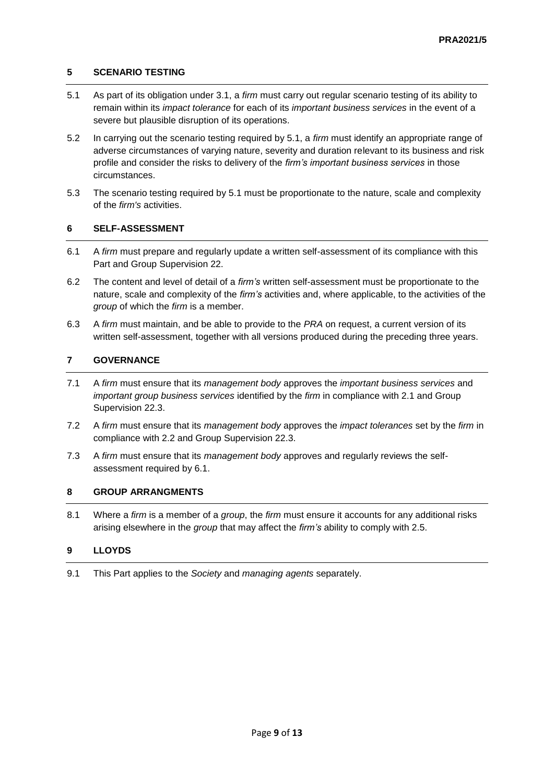## **5 SCENARIO TESTING**

- 5.1 As part of its obligation under 3.1, a *firm* must carry out regular scenario testing of its ability to remain within its *impact tolerance* for each of its *important business services* in the event of a severe but plausible disruption of its operations.
- 5.2 In carrying out the scenario testing required by 5.1, a *firm* must identify an appropriate range of adverse circumstances of varying nature, severity and duration relevant to its business and risk profile and consider the risks to delivery of the *firm's important business services* in those circumstances.
- 5.3 The scenario testing required by 5.1 must be proportionate to the nature, scale and complexity of the *firm's* activities.

### **6 SELF-ASSESSMENT**

- 6.1 A *firm* must prepare and regularly update a written self-assessment of its compliance with this Part and Group Supervision 22.
- 6.2 The content and level of detail of a *firm's* written self-assessment must be proportionate to the nature, scale and complexity of the *firm's* activities and, where applicable, to the activities of the *group* of which the *firm* is a member.
- 6.3 A *firm* must maintain, and be able to provide to the *PRA* on request, a current version of its written self-assessment, together with all versions produced during the preceding three years.

## **7 GOVERNANCE**

- 7.1 A *firm* must ensure that its *management body* approves the *important business services* and *important group business services* identified by the *firm* in compliance with 2.1 and Group Supervision 22.3.
- 7.2 A *firm* must ensure that its *management body* approves the *impact tolerances* set by the *firm* in compliance with 2.2 and Group Supervision 22.3.
- 7.3 A *firm* must ensure that its *management body* approves and regularly reviews the selfassessment required by 6.1.

### **8 GROUP ARRANGMENTS**

8.1 Where a *firm* is a member of a *group*, the *firm* must ensure it accounts for any additional risks arising elsewhere in the *group* that may affect the *firm's* ability to comply with 2.5.

## **9 LLOYDS**

9.1 This Part applies to the *Society* and *managing agents* separately.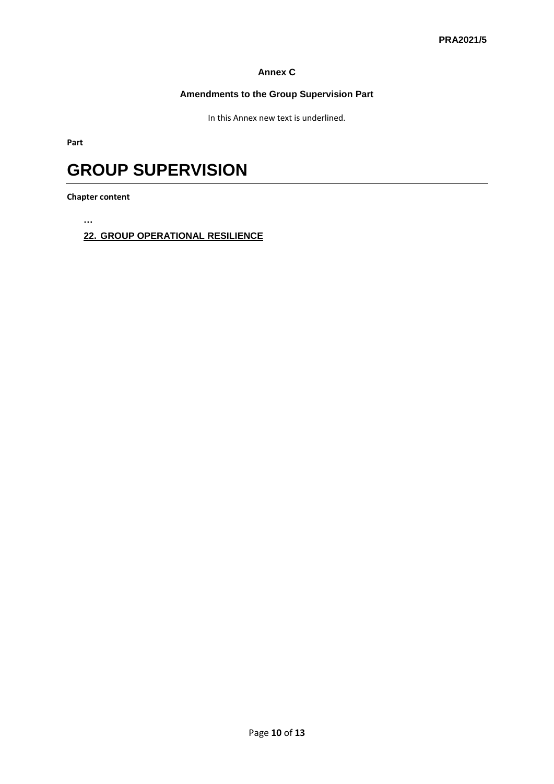## **Annex C**

## **Amendments to the Group Supervision Part**

In this Annex new text is underlined.

**Part**

## **GROUP SUPERVISION**

**Chapter content**

**…**

**22. GROUP OPERATIONAL RESILIENCE**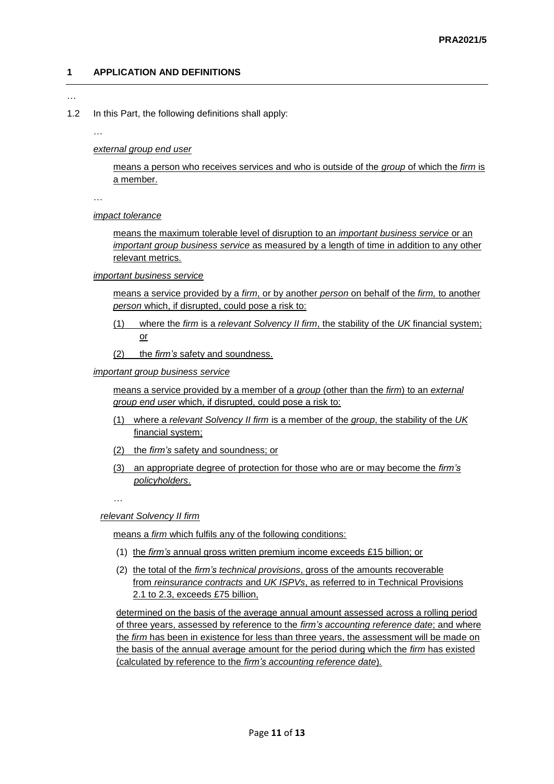## **1 APPLICATION AND DEFINITIONS**

…

1.2 In this Part, the following definitions shall apply:

…

*external group end user*

means a person who receives services and who is outside of the *group* of which the *firm* is a member.

…

*impact tolerance*

means the maximum tolerable level of disruption to an *important business service* or an *important group business service* as measured by a length of time in addition to any other relevant metrics*.*

*important business service*

means a service provided by a *firm*, or by another *person* on behalf of the *firm,* to another *person* which, if disrupted, could pose a risk to:

- (1) where the *firm* is a *relevant Solvency II firm*, the stability of the *UK* financial system; or
- (2) the *firm's* safety and soundness.

*important group business service*

means a service provided by a member of a *group* (other than the *firm*) to an *external group end user* which, if disrupted, could pose a risk to:

- (1) where a *relevant Solvency II firm* is a member of the *group*, the stability of the *UK* financial system;
- (2) the *firm's* safety and soundness; or
- (3) an appropriate degree of protection for those who are or may become the *firm's policyholders*.

*…*

*relevant Solvency II firm*

means a *firm* which fulfils any of the following conditions:

- (1) the *firm's* annual gross written premium income exceeds £15 billion; or
- (2) the total of the *firm's technical provisions*, gross of the amounts recoverable from *reinsurance contracts* and *UK ISPVs*, as referred to in Technical Provisions 2.1 to 2.3, exceeds £75 billion,

determined on the basis of the average annual amount assessed across a rolling period of three years, assessed by reference to the *firm's accounting reference date*; and where the *firm* has been in existence for less than three years, the assessment will be made on the basis of the annual average amount for the period during which the *firm* has existed (calculated by reference to the *firm's accounting reference date*)*.*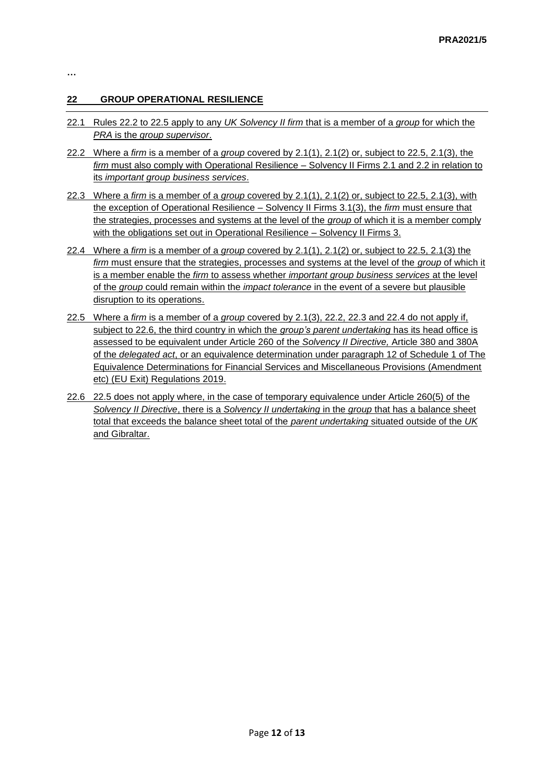## **22 GROUP OPERATIONAL RESILIENCE**

- 22.1 Rules 22.2 to 22.5 apply to any *UK Solvency II firm* that is a member of a *group* for which the *PRA* is the *group supervisor*.
- 22.2 Where a *firm* is a member of a *group* covered by 2.1(1), 2.1(2) or, subject to 22.5, 2.1(3), the *firm* must also comply with Operational Resilience – Solvency II Firms 2.1 and 2.2 in relation to its *important group business services*.
- 22.3 Where a *firm* is a member of a *group* covered by 2.1(1), 2.1(2) or, subject to 22.5, 2.1(3), with the exception of Operational Resilience – Solvency II Firms 3.1(3), the *firm* must ensure that the strategies, processes and systems at the level of the *group* of which it is a member comply with the obligations set out in Operational Resilience – Solvency II Firms 3.
- 22.4 Where a *firm* is a member of a *group* covered by 2.1(1), 2.1(2) or, subject to 22.5, 2.1(3) the *firm* must ensure that the strategies, processes and systems at the level of the *group* of which it is a member enable the *firm* to assess whether *important group business services* at the level of the *group* could remain within the *impact tolerance* in the event of a severe but plausible disruption to its operations.
- 22.5 Where a *firm* is a member of a *group* covered by 2.1(3), 22.2, 22.3 and 22.4 do not apply if, subject to 22.6, the third country in which the *group's parent undertaking* has its head office is assessed to be equivalent under Article 260 of the *Solvency II Directive,* Article 380 and 380A of the *delegated act*, or an equivalence determination under paragraph 12 of Schedule 1 of The Equivalence Determinations for Financial Services and Miscellaneous Provisions (Amendment etc) (EU Exit) Regulations 2019.
- 22.6 22.5 does not apply where, in the case of temporary equivalence under Article 260(5) of the *Solvency II Directive*, there is a *Solvency II undertaking* in the *group* that has a balance sheet total that exceeds the balance sheet total of the *parent undertaking* situated outside of the *UK*  and Gibraltar.